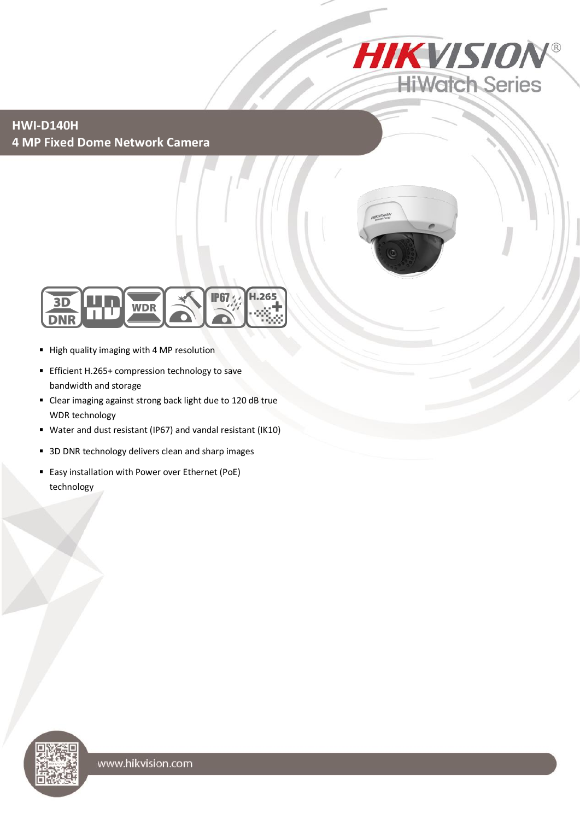

**HWI-D140H 4 MP Fixed Dome Network Camera**





- High quality imaging with 4 MP resolution
- Efficient H.265+ compression technology to save bandwidth and storage
- Clear imaging against strong back light due to 120 dB true WDR technology
- Water and dust resistant (IP67) and vandal resistant (IK10)
- 3D DNR technology delivers clean and sharp images
- **Easy installation with Power over Ethernet (PoE)** technology

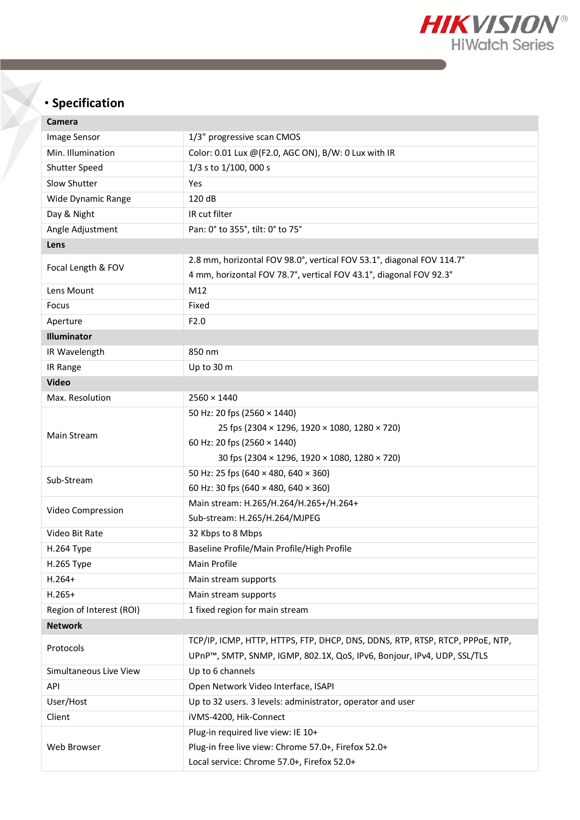

## **Specification**

| Camera                   |                                                                               |  |  |  |  |  |
|--------------------------|-------------------------------------------------------------------------------|--|--|--|--|--|
| Image Sensor             | 1/3" progressive scan CMOS                                                    |  |  |  |  |  |
| Min. Illumination        | Color: 0.01 Lux @ (F2.0, AGC ON), B/W: 0 Lux with IR                          |  |  |  |  |  |
| <b>Shutter Speed</b>     | 1/3 s to 1/100, 000 s                                                         |  |  |  |  |  |
| Slow Shutter             | Yes                                                                           |  |  |  |  |  |
| Wide Dynamic Range       | 120 dB                                                                        |  |  |  |  |  |
| Day & Night              | IR cut filter                                                                 |  |  |  |  |  |
| Angle Adjustment         | Pan: 0° to 355°, tilt: 0° to 75°                                              |  |  |  |  |  |
| Lens                     |                                                                               |  |  |  |  |  |
| Focal Length & FOV       | 2.8 mm, horizontal FOV 98.0°, vertical FOV 53.1°, diagonal FOV 114.7°         |  |  |  |  |  |
|                          | 4 mm, horizontal FOV 78.7°, vertical FOV 43.1°, diagonal FOV 92.3°            |  |  |  |  |  |
| Lens Mount               | M12                                                                           |  |  |  |  |  |
| Focus                    | Fixed                                                                         |  |  |  |  |  |
| Aperture                 | F2.0                                                                          |  |  |  |  |  |
| <b>Illuminator</b>       |                                                                               |  |  |  |  |  |
| IR Wavelength            | 850 nm                                                                        |  |  |  |  |  |
| IR Range                 | Up to 30 m                                                                    |  |  |  |  |  |
| <b>Video</b>             |                                                                               |  |  |  |  |  |
| Max. Resolution          | $2560 \times 1440$                                                            |  |  |  |  |  |
|                          | 50 Hz: 20 fps (2560 × 1440)                                                   |  |  |  |  |  |
| Main Stream              | 25 fps (2304 × 1296, 1920 × 1080, 1280 × 720)                                 |  |  |  |  |  |
|                          | 60 Hz: 20 fps (2560 × 1440)                                                   |  |  |  |  |  |
|                          | 30 fps (2304 × 1296, 1920 × 1080, 1280 × 720)                                 |  |  |  |  |  |
| Sub-Stream               | 50 Hz: 25 fps (640 × 480, 640 × 360)                                          |  |  |  |  |  |
|                          | 60 Hz: 30 fps (640 × 480, 640 × 360)                                          |  |  |  |  |  |
| Video Compression        | Main stream: H.265/H.264/H.265+/H.264+                                        |  |  |  |  |  |
|                          | Sub-stream: H.265/H.264/MJPEG                                                 |  |  |  |  |  |
| Video Bit Rate           | 32 Kbps to 8 Mbps                                                             |  |  |  |  |  |
| H.264 Type               | Baseline Profile/Main Profile/High Profile                                    |  |  |  |  |  |
| H.265 Type               | Main Profile                                                                  |  |  |  |  |  |
| $H.264+$                 | Main stream supports                                                          |  |  |  |  |  |
| $H.265+$                 | Main stream supports                                                          |  |  |  |  |  |
| Region of Interest (ROI) | 1 fixed region for main stream                                                |  |  |  |  |  |
| <b>Network</b>           |                                                                               |  |  |  |  |  |
| Protocols                | TCP/IP, ICMP, HTTP, HTTPS, FTP, DHCP, DNS, DDNS, RTP, RTSP, RTCP, PPPOE, NTP, |  |  |  |  |  |
|                          | UPnP™, SMTP, SNMP, IGMP, 802.1X, QoS, IPv6, Bonjour, IPv4, UDP, SSL/TLS       |  |  |  |  |  |
| Simultaneous Live View   | Up to 6 channels                                                              |  |  |  |  |  |
| API                      | Open Network Video Interface, ISAPI                                           |  |  |  |  |  |
| User/Host                | Up to 32 users. 3 levels: administrator, operator and user                    |  |  |  |  |  |
| Client                   | iVMS-4200, Hik-Connect                                                        |  |  |  |  |  |
| Web Browser              | Plug-in required live view: IE 10+                                            |  |  |  |  |  |
|                          | Plug-in free live view: Chrome 57.0+, Firefox 52.0+                           |  |  |  |  |  |
|                          | Local service: Chrome 57.0+, Firefox 52.0+                                    |  |  |  |  |  |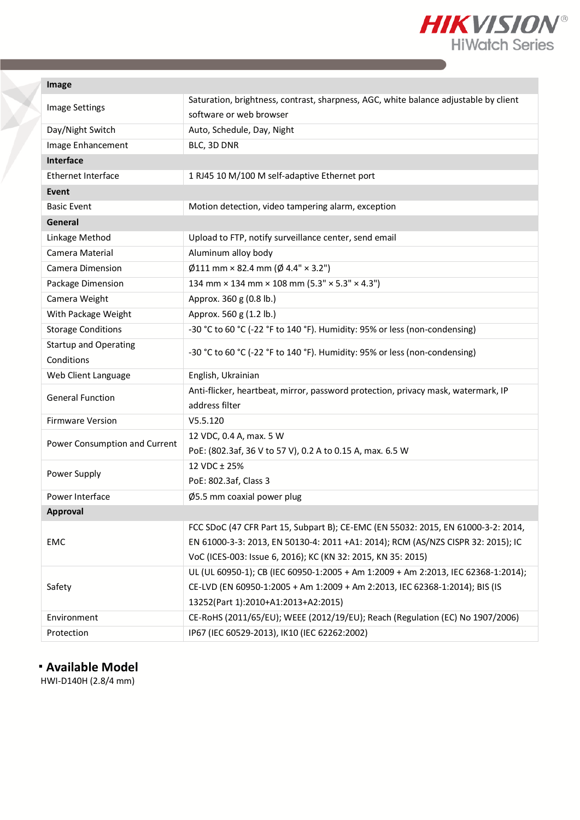

| Image |
|-------|
|-------|

| <b>Image Settings</b>         | Saturation, brightness, contrast, sharpness, AGC, white balance adjustable by client |  |  |  |  |  |
|-------------------------------|--------------------------------------------------------------------------------------|--|--|--|--|--|
|                               | software or web browser                                                              |  |  |  |  |  |
| Day/Night Switch              | Auto, Schedule, Day, Night                                                           |  |  |  |  |  |
| Image Enhancement             | BLC, 3D DNR                                                                          |  |  |  |  |  |
| Interface                     |                                                                                      |  |  |  |  |  |
| Ethernet Interface            | 1 RJ45 10 M/100 M self-adaptive Ethernet port                                        |  |  |  |  |  |
| Event                         |                                                                                      |  |  |  |  |  |
| <b>Basic Event</b>            | Motion detection, video tampering alarm, exception                                   |  |  |  |  |  |
| General                       |                                                                                      |  |  |  |  |  |
| Linkage Method                | Upload to FTP, notify surveillance center, send email                                |  |  |  |  |  |
| Camera Material               | Aluminum alloy body                                                                  |  |  |  |  |  |
| Camera Dimension              | $\emptyset$ 111 mm × 82.4 mm ( $\emptyset$ 4.4" × 3.2")                              |  |  |  |  |  |
| Package Dimension             | 134 mm × 134 mm × 108 mm (5.3" × 5.3" × 4.3")                                        |  |  |  |  |  |
| Camera Weight                 | Approx. 360 g (0.8 lb.)                                                              |  |  |  |  |  |
| With Package Weight           | Approx. 560 g (1.2 lb.)                                                              |  |  |  |  |  |
| <b>Storage Conditions</b>     | -30 °C to 60 °C (-22 °F to 140 °F). Humidity: 95% or less (non-condensing)           |  |  |  |  |  |
| <b>Startup and Operating</b>  | -30 °C to 60 °C (-22 °F to 140 °F). Humidity: 95% or less (non-condensing)           |  |  |  |  |  |
| Conditions                    |                                                                                      |  |  |  |  |  |
| Web Client Language           | English, Ukrainian                                                                   |  |  |  |  |  |
| <b>General Function</b>       | Anti-flicker, heartbeat, mirror, password protection, privacy mask, watermark, IP    |  |  |  |  |  |
|                               | address filter                                                                       |  |  |  |  |  |
| <b>Firmware Version</b>       | V5.5.120                                                                             |  |  |  |  |  |
| Power Consumption and Current | 12 VDC, 0.4 A, max. 5 W                                                              |  |  |  |  |  |
|                               | PoE: (802.3af, 36 V to 57 V), 0.2 A to 0.15 A, max. 6.5 W                            |  |  |  |  |  |
| Power Supply                  | 12 VDC ± 25%                                                                         |  |  |  |  |  |
|                               | PoE: 802.3af, Class 3                                                                |  |  |  |  |  |
| Power Interface               | Ø5.5 mm coaxial power plug                                                           |  |  |  |  |  |
| Approval                      |                                                                                      |  |  |  |  |  |
| <b>EMC</b>                    | FCC SDoC (47 CFR Part 15, Subpart B); CE-EMC (EN 55032: 2015, EN 61000-3-2: 2014,    |  |  |  |  |  |
|                               | EN 61000-3-3: 2013, EN 50130-4: 2011 +A1: 2014); RCM (AS/NZS CISPR 32: 2015); IC     |  |  |  |  |  |
|                               | VoC (ICES-003: Issue 6, 2016); KC (KN 32: 2015, KN 35: 2015)                         |  |  |  |  |  |
|                               | UL (UL 60950-1); CB (IEC 60950-1:2005 + Am 1:2009 + Am 2:2013, IEC 62368-1:2014);    |  |  |  |  |  |
| Safety                        | CE-LVD (EN 60950-1:2005 + Am 1:2009 + Am 2:2013, IEC 62368-1:2014); BIS (IS          |  |  |  |  |  |
|                               | 13252(Part 1):2010+A1:2013+A2:2015)                                                  |  |  |  |  |  |
| Environment                   | CE-RoHS (2011/65/EU); WEEE (2012/19/EU); Reach (Regulation (EC) No 1907/2006)        |  |  |  |  |  |
| Protection                    | IP67 (IEC 60529-2013), IK10 (IEC 62262:2002)                                         |  |  |  |  |  |

## **Available Model**

HWI-D140H (2.8/4 mm)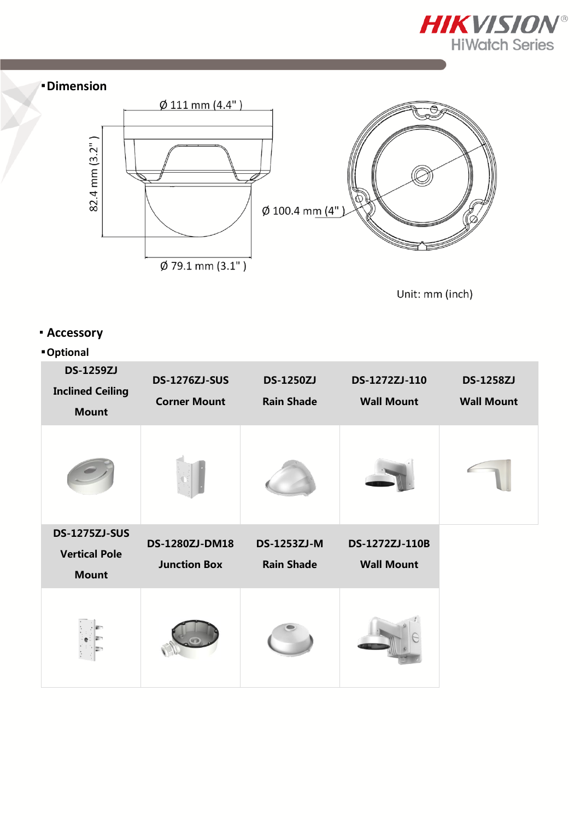





Unit: mm (inch)

## **Accessory**

## **Optional**

| <b>DS-1259ZJ</b><br><b>Inclined Ceiling</b><br><b>Mount</b> | <b>DS-1276ZJ-SUS</b><br><b>Corner Mount</b> | <b>DS-1250ZJ</b><br><b>Rain Shade</b> | DS-1272ZJ-110<br><b>Wall Mount</b> | <b>DS-1258ZJ</b><br><b>Wall Mount</b> |
|-------------------------------------------------------------|---------------------------------------------|---------------------------------------|------------------------------------|---------------------------------------|
|                                                             |                                             |                                       |                                    |                                       |
| <b>DS-1275ZJ-SUS</b>                                        | DS-1280ZJ-DM18                              | <b>DS-1253ZJ-M</b>                    | DS-1272ZJ-110B                     |                                       |
| <b>Vertical Pole</b>                                        | <b>Junction Box</b>                         | <b>Rain Shade</b>                     | <b>Wall Mount</b>                  |                                       |
| <b>Mount</b>                                                |                                             |                                       |                                    |                                       |
|                                                             |                                             |                                       |                                    |                                       |